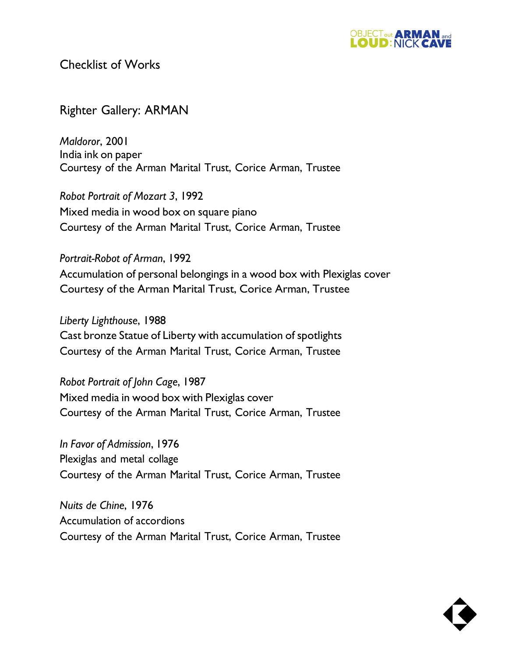

Checklist of Works

## Righter Gallery: ARMAN

*Maldoror*, 2001 India ink on paper Courtesy of the Arman Marital Trust, Corice Arman, Trustee

*Robot Portrait of Mozart 3*, 1992 Mixed media in wood box on square piano Courtesy of the Arman Marital Trust, Corice Arman, Trustee

*Portrait-Robot of Arman*, 1992 Accumulation of personal belongings in a wood box with Plexiglas cover Courtesy of the Arman Marital Trust, Corice Arman, Trustee

*Liberty Lighthouse*, 1988 Cast bronze Statue of Liberty with accumulation of spotlights Courtesy of the Arman Marital Trust, Corice Arman, Trustee

*Robot Portrait of John Cage*, 1987 Mixed media in wood box with Plexiglas cover Courtesy of the Arman Marital Trust, Corice Arman, Trustee

*In Favor of Admission*, 1976 Plexiglas and metal collage Courtesy of the Arman Marital Trust, Corice Arman, Trustee

*Nuits de Chine*, 1976 Accumulation of accordions Courtesy of the Arman Marital Trust, Corice Arman, Trustee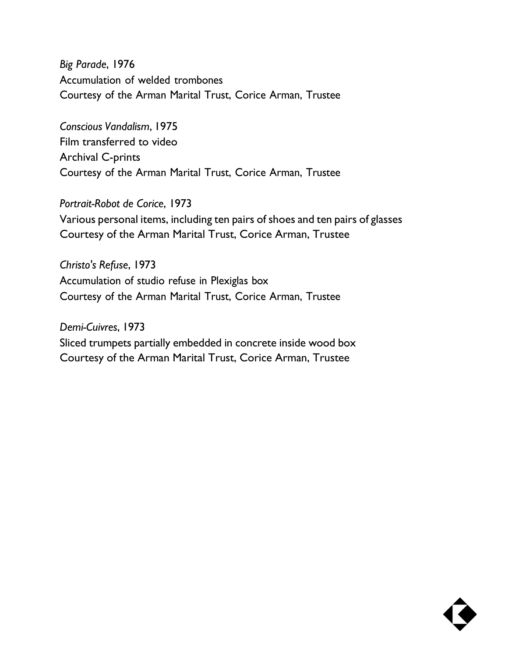*Big Parade*, 1976 Accumulation of welded trombones Courtesy of the Arman Marital Trust, Corice Arman, Trustee

*Conscious Vandalism*, 1975 Film transferred to video Archival C-prints Courtesy of the Arman Marital Trust, Corice Arman, Trustee

*Portrait-Robot de Corice*, 1973 Various personal items, including ten pairs of shoes and ten pairs of glasses Courtesy of the Arman Marital Trust, Corice Arman, Trustee

*Christo's Refuse*, 1973 Accumulation of studio refuse in Plexiglas box Courtesy of the Arman Marital Trust, Corice Arman, Trustee

*Demi-Cuivres*, 1973 Sliced trumpets partially embedded in concrete inside wood box Courtesy of the Arman Marital Trust, Corice Arman, Trustee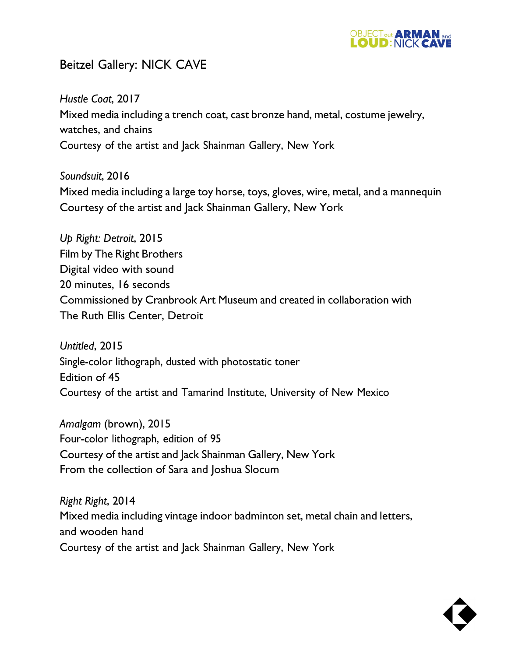

## Beitzel Gallery: NICK CAVE

*Hustle Coat*, 2017 Mixed media including a trench coat, cast bronze hand, metal, costume jewelry, watches, and chains Courtesy of the artist and Jack Shainman Gallery, New York

*Soundsuit*, 2016 Mixed media including a large toy horse, toys, gloves, wire, metal, and a mannequin Courtesy of the artist and Jack Shainman Gallery, New York

*Up Right: Detroit*, 2015 Film by The Right Brothers Digital video with sound 20 minutes, 16 seconds Commissioned by Cranbrook Art Museum and created in collaboration with The Ruth Ellis Center, Detroit

*Untitled*, 2015 Single-color lithograph, dusted with photostatic toner Edition of 45 Courtesy of the artist and Tamarind Institute, University of New Mexico

*Amalgam* (brown), 2015 Four-color lithograph, edition of 95 Courtesy of the artist and Jack Shainman Gallery, New York From the collection of Sara and Joshua Slocum

*Right Right*, 2014 Mixed media including vintage indoor badminton set, metal chain and letters, and wooden hand Courtesy of the artist and Jack Shainman Gallery, New York

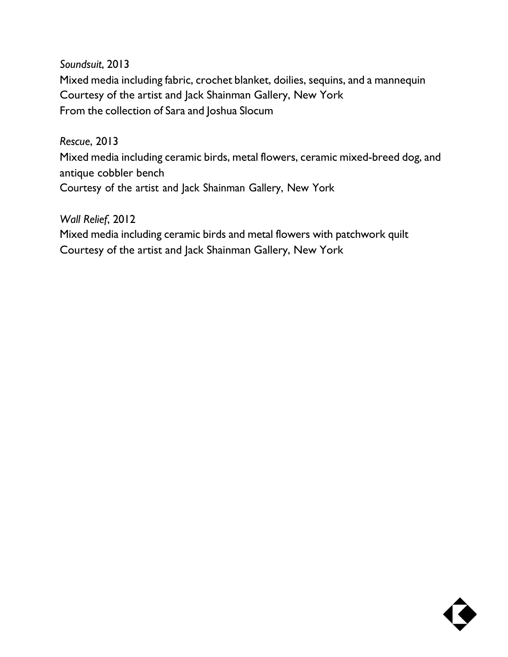*Soundsuit*, 2013 Mixed media including fabric, crochet blanket, doilies, sequins, and a mannequin Courtesy of the artist and Jack Shainman Gallery, New York From the collection of Sara and Joshua Slocum

*Rescue*, 2013

Mixed media including ceramic birds, metal flowers, ceramic mixed-breed dog, and antique cobbler bench Courtesy of the artist and Jack Shainman Gallery, New York

*Wall Relief*, 2012 Mixed media including ceramic birds and metal flowers with patchwork quilt Courtesy of the artist and Jack Shainman Gallery, New York

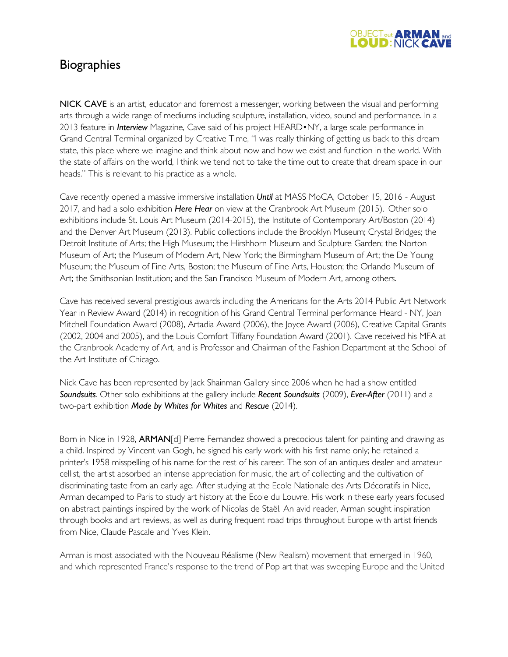

## **Biographies**

NICK CAVE is an artist, educator and foremost a messenger, working between the visual and performing arts through a wide range of mediums including sculpture, installation, video, sound and performance. In a 2013 feature in *Interview* Magazine, Cave said of his project HEARD•NY, a large scale performance in Grand Central Terminal organized by Creative Time, "I was really thinking of getting us back to this dream state, this place where we imagine and think about now and how we exist and function in the world. With the state of affairs on the world, I think we tend not to take the time out to create that dream space in our heads." This is relevant to his practice as a whole.

Cave recently opened a massive immersive installation *Until* at MASS MoCA, October 15, 2016 - August 2017, and had a solo exhibition *Here Hear* on view at the Cranbrook Art Museum (2015). Other solo exhibitions include St. Louis Art Museum (2014-2015), the Institute of Contemporary Art/Boston (2014) and the Denver Art Museum (2013). Public collections include the Brooklyn Museum; Crystal Bridges; the Detroit Institute of Arts; the High Museum; the Hirshhorn Museum and Sculpture Garden; the Norton Museum of Art; the Museum of Modern Art, New York; the Birmingham Museum of Art; the De Young Museum; the Museum of Fine Arts, Boston; the Museum of Fine Arts, Houston; the Orlando Museum of Art; the Smithsonian Institution; and the San Francisco Museum of Modern Art, among others.

Cave has received several prestigious awards including the Americans for the Arts 2014 Public Art Network Year in Review Award (2014) in recognition of his Grand Central Terminal performance Heard - NY, Joan Mitchell Foundation Award (2008), Artadia Award (2006), the Joyce Award (2006), Creative Capital Grants (2002, 2004 and 2005), and the Louis Comfort Tiffany Foundation Award (2001). Cave received his MFA at the Cranbrook Academy of Art, and is Professor and Chairman of the Fashion Department at the School of the Art Institute of Chicago.

Nick Cave has been represented by Jack Shainman Gallery since 2006 when he had a show entitled *Soundsuits*. Other solo exhibitions at the gallery include *Recent Soundsuits* (2009), *Ever-After* (2011) and a two-part exhibition *Made by Whites for Whites* and *Rescue* (2014).

Born in Nice in 1928, **ARMAN**[d] Pierre Fernandez showed a precocious talent for painting and drawing as a child. Inspired by Vincent van Gogh, he signed his early work with his first name only; he retained a printer's 1958 misspelling of his name for the rest of his career. The son of an antiques dealer and amateur cellist, the artist absorbed an intense appreciation for music, the art of collecting and the cultivation of discriminating taste from an early age. After studying at the Ecole Nationale des Arts Décoratifs in Nice, Arman decamped to Paris to study art history at the Ecole du Louvre. His work in these early years focused on abstract paintings inspired by the work of Nicolas de Staël. An avid reader, Arman sought inspiration through books and art reviews, as well as during frequent road trips throughout Europe with artist friends from Nice, Claude Pascale and Yves Klein.

Arman is most associated with the Nouveau Réalisme (New Realism) movement that emerged in 1960, and which represented France's response to the trend of Pop art that was sweeping Europe and the United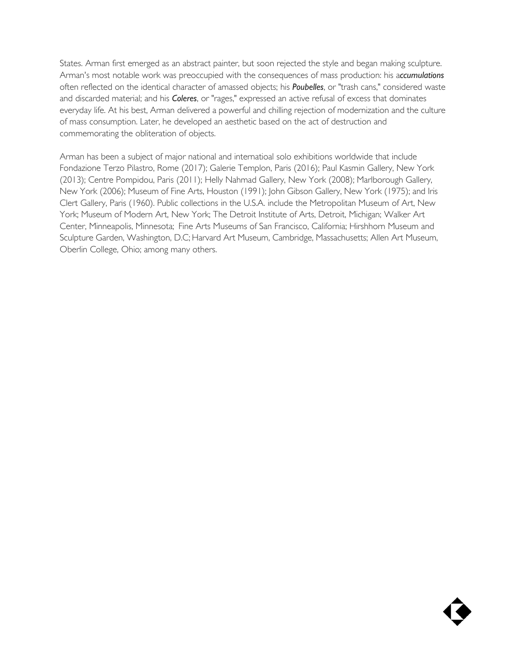States. Arman first emerged as an abstract painter, but soon rejected the style and began making sculpture. Arman's most notable work was preoccupied with the consequences of mass production: his a*ccumulations*  often reflected on the identical character of amassed objects; his *Poubelles*, or "trash cans," considered waste and discarded material; and his *Coleres*, or "rages," expressed an active refusal of excess that dominates everyday life. At his best, Arman delivered a powerful and chilling rejection of modernization and the culture of mass consumption. Later, he developed an aesthetic based on the act of destruction and commemorating the obliteration of objects.

Arman has been a subject of major national and internatioal solo exhibitions worldwide that include Fondazione Terzo Pilastro, Rome (2017); Galerie Templon, Paris (2016); Paul Kasmin Gallery, New York (2013); Centre Pompidou, Paris (2011); Helly Nahmad Gallery, New York (2008); Marlborough Gallery, New York (2006); Museum of Fine Arts, Houston (1991); John Gibson Gallery, New York (1975); and Iris Clert Gallery, Paris (1960). Public collections in the U.S.A. include the Metropolitan Museum of Art, New York; Museum of Modern Art, New York; The Detroit Institute of Arts, Detroit, Michigan; Walker Art Center, Minneapolis, Minnesota; Fine Arts Museums of San Francisco, California; Hirshhorn Museum and Sculpture Garden, Washington, D.C; Harvard Art Museum, Cambridge, Massachusetts; Allen Art Museum, Oberlin College, Ohio; among many others.